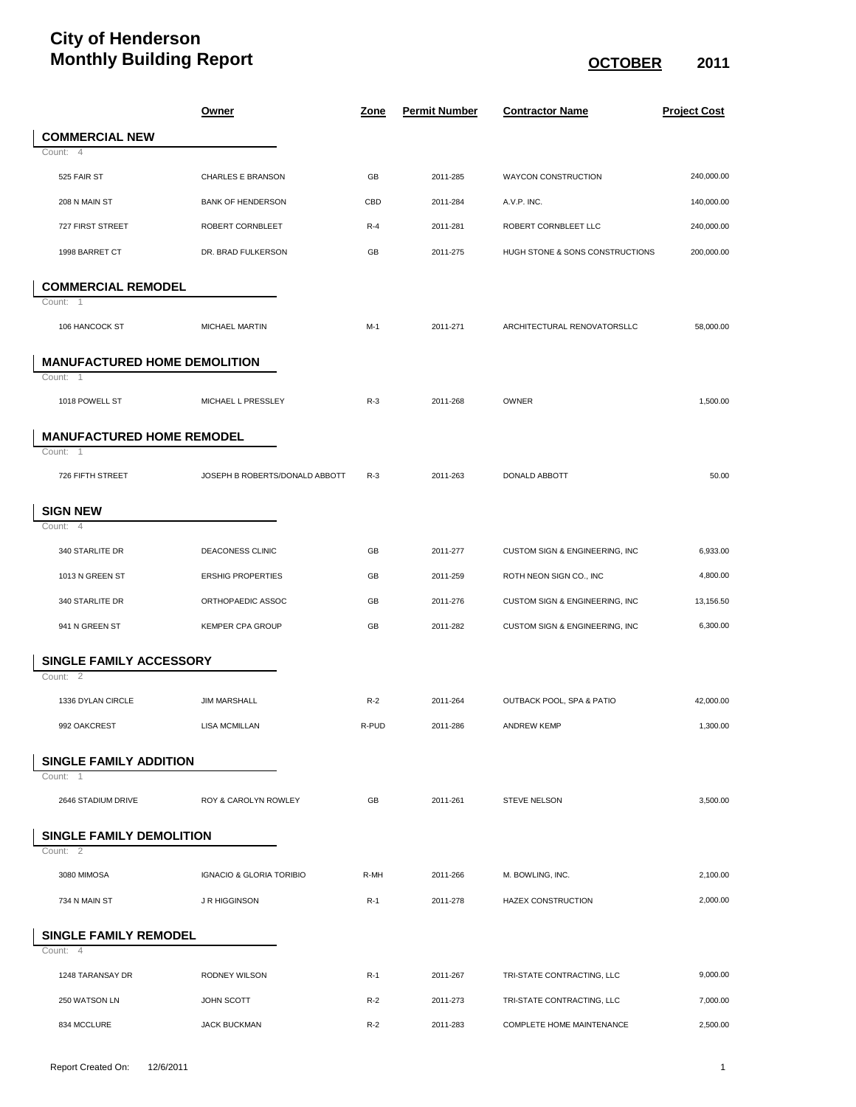## **City of Henderson Monthly Building Report CONTER 2011**

|                                             | <u>Owner</u>                        | <u>Zone</u> | <b>Permit Number</b> | <b>Contractor Name</b>          | <b>Project Cost</b> |
|---------------------------------------------|-------------------------------------|-------------|----------------------|---------------------------------|---------------------|
| <b>COMMERCIAL NEW</b>                       |                                     |             |                      |                                 |                     |
| Count: 4                                    |                                     |             |                      |                                 |                     |
| 525 FAIR ST                                 | <b>CHARLES E BRANSON</b>            | GB          | 2011-285             | <b>WAYCON CONSTRUCTION</b>      | 240,000.00          |
| 208 N MAIN ST                               | <b>BANK OF HENDERSON</b>            | CBD         | 2011-284             | A.V.P. INC.                     | 140,000.00          |
| 727 FIRST STREET                            | ROBERT CORNBLEET                    | $R-4$       | 2011-281             | ROBERT CORNBLEET LLC            | 240,000.00          |
| 1998 BARRET CT                              | DR. BRAD FULKERSON                  | GB          | 2011-275             | HUGH STONE & SONS CONSTRUCTIONS | 200,000.00          |
| <b>COMMERCIAL REMODEL</b>                   |                                     |             |                      |                                 |                     |
| Count: 1                                    |                                     |             |                      |                                 |                     |
| 106 HANCOCK ST                              | MICHAEL MARTIN                      | $M-1$       | 2011-271             | ARCHITECTURAL RENOVATORSLLC     | 58,000.00           |
| <b>MANUFACTURED HOME DEMOLITION</b>         |                                     |             |                      |                                 |                     |
| Count: 1                                    |                                     |             |                      |                                 |                     |
| 1018 POWELL ST                              | MICHAEL L PRESSLEY                  | $R-3$       | 2011-268             | OWNER                           | 1,500.00            |
| <b>MANUFACTURED HOME REMODEL</b>            |                                     |             |                      |                                 |                     |
| Count: 1                                    |                                     |             |                      |                                 |                     |
| 726 FIFTH STREET                            | JOSEPH B ROBERTS/DONALD ABBOTT      | $R-3$       | 2011-263             | DONALD ABBOTT                   | 50.00               |
| <b>SIGN NEW</b>                             |                                     |             |                      |                                 |                     |
| Count: 4                                    |                                     |             |                      |                                 |                     |
| 340 STARLITE DR                             | DEACONESS CLINIC                    | GB          | 2011-277             | CUSTOM SIGN & ENGINEERING, INC  | 6,933.00            |
| 1013 N GREEN ST                             | <b>ERSHIG PROPERTIES</b>            | GB          | 2011-259             | ROTH NEON SIGN CO., INC         | 4,800.00            |
| 340 STARLITE DR                             | ORTHOPAEDIC ASSOC                   | GB          | 2011-276             | CUSTOM SIGN & ENGINEERING, INC  | 13,156.50           |
| 941 N GREEN ST                              | <b>KEMPER CPA GROUP</b>             | GB          | 2011-282             | CUSTOM SIGN & ENGINEERING, INC  | 6,300.00            |
| SINGLE FAMILY ACCESSORY                     |                                     |             |                      |                                 |                     |
| Count: 2                                    |                                     |             |                      |                                 |                     |
| 1336 DYLAN CIRCLE                           | <b>JIM MARSHALL</b>                 | $R-2$       | 2011-264             | OUTBACK POOL, SPA & PATIO       | 42,000.00           |
| 992 OAKCREST                                | <b>LISA MCMILLAN</b>                | R-PUD       | 2011-286             | <b>ANDREW KEMP</b>              | 1,300.00            |
| <b>SINGLE FAMILY ADDITION</b>               |                                     |             |                      |                                 |                     |
| Count: 1<br>2646 STADIUM DRIVE              | ROY & CAROLYN ROWLEY                | GB          | 2011-261             | <b>STEVE NELSON</b>             | 3,500.00            |
|                                             |                                     |             |                      |                                 |                     |
| <b>SINGLE FAMILY DEMOLITION</b><br>Count: 2 |                                     |             |                      |                                 |                     |
|                                             |                                     |             |                      |                                 |                     |
| 3080 MIMOSA                                 | <b>IGNACIO &amp; GLORIA TORIBIO</b> | R-MH        | 2011-266             | M. BOWLING, INC.                | 2,100.00            |
| 734 N MAIN ST                               | <b>J R HIGGINSON</b>                | $R-1$       | 2011-278             | HAZEX CONSTRUCTION              | 2,000.00            |
| <b>SINGLE FAMILY REMODEL</b><br>Count: 4    |                                     |             |                      |                                 |                     |
| 1248 TARANSAY DR                            | RODNEY WILSON                       | $R-1$       | 2011-267             | TRI-STATE CONTRACTING, LLC      | 9,000.00            |
| 250 WATSON LN                               | JOHN SCOTT                          | $R-2$       | 2011-273             | TRI-STATE CONTRACTING, LLC      | 7,000.00            |
| 834 MCCLURE                                 | <b>JACK BUCKMAN</b>                 | $R-2$       | 2011-283             | COMPLETE HOME MAINTENANCE       | 2,500.00            |
|                                             |                                     |             |                      |                                 |                     |